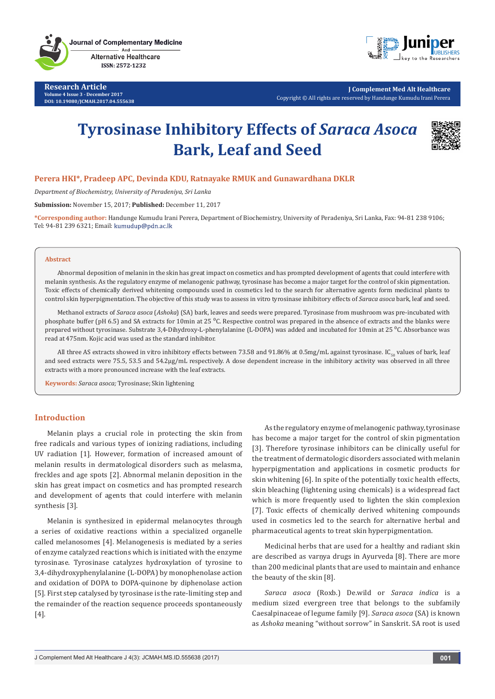**Research Article Volume 4 Issue 3 - December 2017 DOI: 10.19080/JCMAH.2017.04.555638**



**J Complement Med Alt Healthcare** Copyright © All rights are reserved by Handunge Kumudu Irani Perera

# **Tyrosinase Inhibitory Effects of** *Saraca Asoca* **Bark, Leaf and Seed**



## **Perera HKI\*, Pradeep APC, Devinda KDU, Ratnayake RMUK and Gunawardhana DKLR**

*Department of Biochemistry, University of Peradeniya, Sri Lanka*

**Submission:** November 15, 2017; **Published:** December 11, 2017

**\*Corresponding author:** Handunge Kumudu Irani Perera, Department of Biochemistry, University of Peradeniya, Sri Lanka, Fax: 94-81 238 9106; Tel: 94-81 239 6321; Email: kumudup@pdn.ac.lk

#### **Abstract**

Abnormal deposition of melanin in the skin has great impact on cosmetics and has prompted development of agents that could interfere with melanin synthesis. As the regulatory enzyme of melanogenic pathway, tyrosinase has become a major target for the control of skin pigmentation. Toxic effects of chemically derived whitening compounds used in cosmetics led to the search for alternative agents form medicinal plants to control skin hyperpigmentation. The objective of this study was to assess in vitro tyrosinase inhibitory effects of *Saraca asoca* bark, leaf and seed.

Methanol extracts of *Saraca asoca* (*Ashoka*) (SA) bark, leaves and seeds were prepared. Tyrosinase from mushroom was pre-incubated with phosphate buffer (pH 6.5) and SA extracts for 10min at 25 °C. Respective control was prepared in the absence of extracts and the blanks were prepared without tyrosinase. Substrate 3,4-Dihydroxy-L-phenylalanine (L-DOPA) was added and incubated for 10min at 25 °C. Absorbance was read at 475nm. Kojic acid was used as the standard inhibitor.

All three AS extracts showed in vitro inhibitory effects between 73.58 and 91.86% at 0.5mg/mL against tyrosinase. IC<sub>50</sub> values of bark, leaf and seed extracts were 75.5, 53.5 and 54.2µg/mL respectively. A dose dependent increase in the inhibitory activity was observed in all three extracts with a more pronounced increase with the leaf extracts.

**Keywords:** *Saraca asoca;* Tyrosinase; Skin lightening

## **Introduction**

Melanin plays a crucial role in protecting the skin from free radicals and various types of ionizing radiations, including UV radiation [1]. However, formation of increased amount of melanin results in dermatological disorders such as melasma, freckles and age spots [2]. Abnormal melanin deposition in the skin has great impact on cosmetics and has prompted research and development of agents that could interfere with melanin synthesis [3].

Melanin is synthesized in epidermal melanocytes through a series of oxidative reactions within a specialized organelle called melanosomes [4]. Melanogenesis is mediated by a series of enzyme catalyzed reactions which is initiated with the enzyme tyrosinase. Tyrosinase catalyzes hydroxylation of tyrosine to 3,4-dihydroxyphenylalanine (L-DOPA) by monophenolase action and oxidation of DOPA to DOPA-quinone by diphenolase action [5]. First step catalysed by tyrosinase is the rate-limiting step and the remainder of the reaction sequence proceeds spontaneously [4].

As the regulatory enzyme of melanogenic pathway, tyrosinase has become a major target for the control of skin pigmentation [3]. Therefore tyrosinase inhibitors can be clinically useful for the treatment of dermatologic disorders associated with melanin hyperpigmentation and applications in cosmetic products for skin whitening [6]. In spite of the potentially toxic health effects, skin bleaching (lightening using chemicals) is a widespread fact which is more frequently used to lighten the skin complexion [7]. Toxic effects of chemically derived whitening compounds used in cosmetics led to the search for alternative herbal and pharmaceutical agents to treat skin hyperpigmentation.

Medicinal herbs that are used for a healthy and radiant skin are described as varnya drugs in Ayurveda [8]. There are more than 200 medicinal plants that are used to maintain and enhance the beauty of the skin [8].

*Saraca asoca* (Roxb.) De.wild or *Saraca indica* is a medium sized evergreen tree that belongs to the subfamily Caesalpinaceae of legume family [9]. *Saraca asoca* (SA) is known as *Ashoka* meaning "without sorrow" in Sanskrit. SA root is used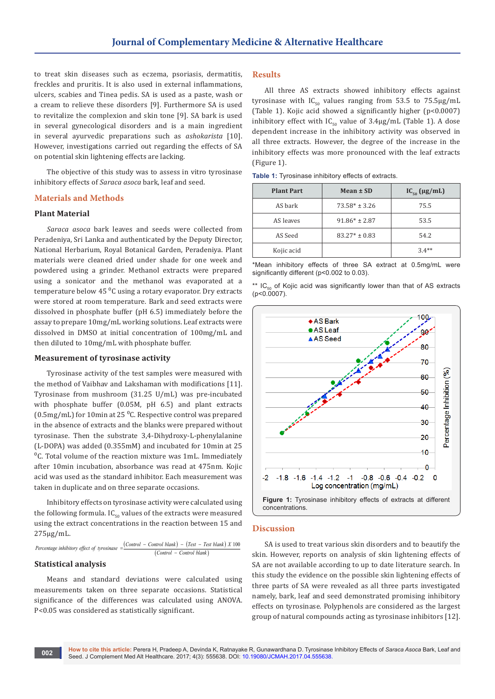to treat skin diseases such as eczema, psoriasis, dermatitis, freckles and pruritis. It is also used in external inflammations, ulcers, scabies and Tinea pedis. SA is used as a paste, wash or a cream to relieve these disorders [9]. Furthermore SA is used to revitalize the complexion and skin tone [9]. SA bark is used in several gynecological disorders and is a main ingredient in several ayurvedic preparations such as *ashokarista* [10]. However, investigations carried out regarding the effects of SA on potential skin lightening effects are lacking.

The objective of this study was to assess in vitro tyrosinase inhibitory effects of *Saraca asoca* bark, leaf and seed.

## **Materials and Methods**

### **Plant Material**

*Saraca asoca* bark leaves and seeds were collected from Peradeniya, Sri Lanka and authenticated by the Deputy Director, National Herbarium, Royal Botanical Garden, Peradeniya. Plant materials were cleaned dried under shade for one week and powdered using a grinder. Methanol extracts were prepared using a sonicator and the methanol was evaporated at a temperature below 45 $^{0}$ C using a rotary evaporator. Dry extracts were stored at room temperature. Bark and seed extracts were dissolved in phosphate buffer (pH 6.5) immediately before the assay to prepare 10mg/mL working solutions. Leaf extracts were dissolved in DMSO at initial concentration of 100mg/mL and then diluted to 10mg/mL with phosphate buffer.

#### **Measurement of tyrosinase activity**

Tyrosinase activity of the test samples were measured with the method of Vaibhav and Lakshaman with modifications [11]. Tyrosinase from mushroom (31.25 U/mL) was pre-incubated with phosphate buffer (0.05M, pH 6.5) and plant extracts (0.5mg/mL) for 10min at 25 $\mathrm{^0C}$ . Respective control was prepared in the absence of extracts and the blanks were prepared without tyrosinase. Then the substrate 3,4-Dihydroxy-L-phenylalanine (L-DOPA) was added (0.355mM) and incubated for 10min at 25  $C$ . Total volume of the reaction mixture was 1mL. Immediately after 10min incubation, absorbance was read at 475nm. Kojic acid was used as the standard inhibitor. Each measurement was taken in duplicate and on three separate occasions.

Inhibitory effects on tyrosinase activity were calculated using the following formula.  $IC_{50}$  values of the extracts were measured using the extract concentrations in the reaction between 15 and 275µg/mL.

 $\frac{Control - Control blank}{(Control - Control blank) - (Test - Test blank)}$  X 100  $(Control - Control blank)$ *Percentage inhibitory effect of tyrosinase* =

#### **Statistical analysis**

Means and standard deviations were calculated using measurements taken on three separate occasions. Statistical significance of the differences was calculated using ANOVA. P<0.05 was considered as statistically significant.

## **Results**

All three AS extracts showed inhibitory effects against tyrosinase with  $IC_{50}$  values ranging from 53.5 to 75.5 $\mu$ g/mL (Table 1). Kojic acid showed a significantly higher (p<0.0007) inhibitory effect with  $IC_{50}$  value of 3.4µg/mL (Table 1). A dose dependent increase in the inhibitory activity was observed in all three extracts. However, the degree of the increase in the inhibitory effects was more pronounced with the leaf extracts (Figure 1).

| <b>Plant Part</b> | Mean $\pm$ SD     | $IC_{50}$ (µg/mL) |
|-------------------|-------------------|-------------------|
| AS bark           | $73.58* \pm 3.26$ | 75.5              |
| AS leaves         | $91.86* \pm 2.87$ | 53.5              |
| AS Seed           | $83.27* \pm 0.83$ | 54.2              |
| Kojic acid        |                   | $3.4**$           |

**Table 1:** Tyrosinase inhibitory effects of extracts.

\*Mean inhibitory effects of three SA extract at 0.5mg/mL were significantly different (p<0.002 to 0.03).

\*\*  $IC_{50}$  of Kojic acid was significantly lower than that of AS extracts  $(p < 0.0007)$ .



#### **Discussion**

SA is used to treat various skin disorders and to beautify the skin. However, reports on analysis of skin lightening effects of SA are not available according to up to date literature search. In this study the evidence on the possible skin lightening effects of three parts of SA were revealed as all three parts investigated namely, bark, leaf and seed demonstrated promising inhibitory effects on tyrosinase. Polyphenols are considered as the largest group of natural compounds acting as tyrosinase inhibitors [12].